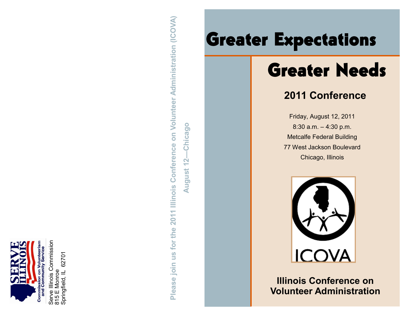

Serve Illinois Commission Serve Illinois Commission<br>815 E Monroe<br>Springfield, IL 62701 Springfield, IL 62701

**Please join us for the 2011 Illinois Conference on Volunteer Administration (ICOVA)** Please join us for the 2011 Illinois Conference on Volunteer Administration (ICOVA) Chicago **August 12—Chicago**August 12

# Greater Expectations<br>
Greater Needs

## **2011 Conference**

Friday, August 12, 2011 8:30 a.m. – 4:30 p.m. Metcalfe Federal Building 77 West Jackson Boulevard Chicago, Illinois



**Illinois Conference on Volunteer Administration**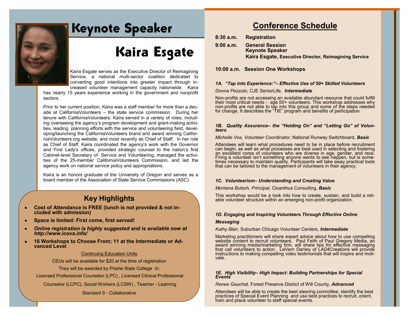

## Keynote Speaker

## Kaira Esgate

Kaira Esgate serves as the Executive Director of Reimagining Service, a national multi-sector coalition dedicated to converting good intentions into greater impact through increased volunteer management capacity nationwide. Kaira

has nearly 15 years experience working in the government and nonprofit sectors.

Prior to her current position, Kaira was a staff member for more than a decade at CaliforniaVolunteers – the state service commission. During her tenure with CaliforniaVolunteers, Kaira served in a variety of roles, including overseeing the agency's program development and grant-making activities, leading planning efforts with the service and volunteering field, developing/launching the CaliforniaVolunteers brand and award winning CaliforniaVolunteers.org website, and most recently as Chief of Staff. In her role as Chief of Staff, Kaira coordinated the agency's work with the Governor and First Lady's offices, provided strategic counsel to the nation's first Cabinet-level Secretary of Service and Volunteering, managed the activities of the 25-member CaliforniaVolunteers Commission, and led the agency work on national service policy and appropriations.

Kaira is an honors graduate of the University of Oregon and serves as a board member of the Association of State Service Commissions (ASC).

### **Key Highlights**

- **Cost of Attendance is FREE (lunch is not provided & not included with admission)**
- **Space is limited: First come, first served!**   $\bullet$
- *Online registration is highly suggested and is available now at*   $\bullet$ *http://www.icova.info/*
- **16 Workshops to Choose From; 11 at the Intermediate or Ad-** $\bullet$ **vanced Level**

#### Continuing Education Units

CEUs will be available for \$20 at the time of registration

They will be awarded by Prairie State College in:

Licensed Professional Counselor (LPC) , Licensed Clinical Professional

Counselor (LCPC), Social Workers (LCSW) , Teacher - Learning

#### Standard 9 - Collaborative

## **Conference Schedule**

- **8:30 a.m. Registration**
- **9:00 a.m. General Session Keynote Speaker Kaira Esgate, Executive Director, Reimagining Service**

#### **10:00 a.m. Session One Workshops**

#### *1A. "Tap into Experience:"– Effective Use of 50+ Skilled Volunteers*

#### *Donna Pezzuto,* CJE SeniorLife*, Intermediate*

Non-profits are not accessing an available abundant resource that could fulfill their most critical needs - age 50+ volunteers. This workshop addresses why non-profits are not able to tap into this group and some of the steps needed for change. It describes the "TIE" program and benefits of participation.

#### *1B. Quality Assurance– the "Holding On" and "Letting Go" of Volunteers*

*Michelle Vos, Volunteer Coordinator,* National Runway Switchboard, *Basic*

Attendees will learn what procedures need to be in place before recruitment can begin, as well as what processes are best used in selecting and fostering an excellent corps of volunteers who are diverse in age, gender, and race. Firing a volunteer isn't something anyone wants to see happen, but is sometimes necessary to maintain quality. Participants will take away practical tools that can be tailored to the management of volunteers in their agency.

#### *1C. Volunteerism– Understanding and Creating Value*

*Montana Butsch, Principal,* Cloanthus Consulting, *Basic* 

This workshop would be a look into how to create, sustain, and build a reliable volunteer structure within an emerging non-profit organization.

#### *1D. Engaging and Inspiring Volunteers Through Effective Online*

#### *Messaging*

*Kathy Blair*, Suburban Chicago Volunteer Centers, *Intermediate*

Marketing practitioners will share expert advice about how to use compelling website content to recruit volunteers. Paul Feith of Paul Gregory Media, an award winning media/marketing firm, will share tips for effective messaging that call volunteers to action. LeVern Danley of LAD4Creations will provide instructions to making compelling video testimonials that will inspire and motivate.

#### *1E. High Visibility– High Impact: Building Partnerships for Special Events*

*Renee Gauchat,* Forest Preserve District of Will County, *Advanced* 

Attendees will be able to create the best steering committee, identify the best practices of Special Event Planning and use best practices to recruit, orient, train and place volunteer to staff special events.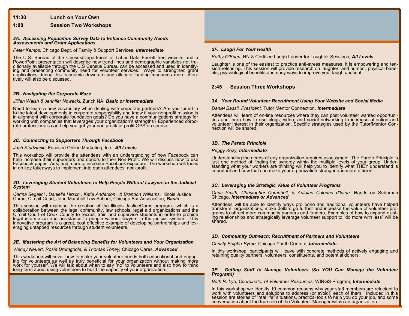#### **11:30 Lunch on Your Own**

#### **1:00 Session Two Workshops**

#### *2A. Accessing Population Survey Data to Enhance Community Needs Assessments and Grant Applications*

*Peter Kamps,* Chicago Dept. of Family & Support Services, *Intermediate*

The U.S. Bureau of the Census/Department of Labor Data Ferrett free website and a PowerPoint presentation will describe how trend lines and demographic variables not traditionally available through the U.S Census Bureau can be accessed and used in identifying and presenting community need for volunteer services. Ways to strengthen grant applications during this economic downturn and allocate funding resources more effectively will also be discussed.

#### *2B. Navigating the Corporate Maze*

#### *Jillian Walsh & Jennifer Nowacki,* Zurich NA, *Basic or Intermediate*

Need to learn a new vocabulary when dealing with corporate partners? Are you tuned in to the latest developments in corporate responsibility and know if your nonprofit mission is in alignment with corporate foundation goals? Do you have a communications strategy for working with companies that leverages your organization's strengths? Experienced corporate professionals can help you get your non profit/for profit GPS on course.

#### *2C. Connecting to Supporters Through Facebook*

#### *Josh Studzinski,* Focused Online Marketing, Inc., *All Levels*

This workshop will provide the attendees with an understanding of how Facebook can help increase their supporters and donors to their Non-Profit. We will discuss how to use Facebook pages, Ads, and more to increase Facebook exposure. The workshop will focus in on key takeaways to implement into each attendees' non-profit.

#### 2D. Leveraging Student Volunteers to Help People Without Lawyers in the Judicial *System*

Carina Segalini, Danielle Hirsch, Katie Anderson, & Brandon Williams, Illinois Justice Corps, Circuit Court, John Marshall Law School, Chicago Bar Association, *Basic*

This session will examine the creation of the Illinois JusticeCorps program—which is a collaboration between the legal community, law schools, legal aid organizations and the Circuit Court of Cook County to recruit, train and supervise students in order to probide legal information and assistance to people without lawyers in the judicial system. This innovative program is a great, cost effective example of developing partnerships and leveraging untapped resources through student volunteers.

#### *2E. Mastering the Art of Balancing Benefits for Volunteers and Your Organization*

#### *Wendy Neuert, Rosie Drumgoole, & Thomas Toney,* Chicago Cares, *Advanced*

This workshop will cover how to make your volunteer needs both educational and engaging for volunteers as well as truly beneficial for your organization without making more work for yourself. We will talk about when to say "no" to volunteers and also how to think long-term about using volunteers to build the capacity of your organization.

#### *2F. Laugh For Your Health*

*Kathy O'Brien,* RN & Certified Laugh Leader for Laughter Sessions, *All Levels* 

Laughter is one of the easiest to practice anti-stress measures, it is empowering and tension-releasing. This session will provide research on laughter and humor , physical benefits, psychological benefits and easy ways to improve your laugh quotient.

#### **2:45 Session Three Workshops**

#### *3A. Year Round Volunteer Recruitment Using Your Website and Social Media*

#### *Daniel Bassil, President,* Tutor Mentor Connection*, Intermediate*

Attendees will learn of on-line resources where they can post volunteer wanted opportunities and learn how to use blogs, video, and social networking to increase attention and volunteer interest in their organization. Specific strategies used by the Tutor/Mentor Connection will be shared.

#### *3B. The Pareto Principle*

#### *Peggy Kozy, Intermediate*

Understanding the needs of any organization requires assessment. The Pareto Principle is just one method of finding the synergy within the multiple levels of your group. Understanding what your workers are thinking will help you to identify what THEY understand is important and how that can make your organization stronger and more efficient.

#### *3C. Leveraging the Strategic Value of Volunteer Programs*

*Chris Smith, Christopher Campbell, & Antoine Colonna d'Istria,* Hands on Suburban Chicago, *Intermediate or Advanced* 

Attendees will be able to identify ways pro bono and traditional volunteers have helped transform organizations, make dollars go further and increase the value of volunteer programs to attract more community partners and funders. Examples of how to expand existing relationships and strategically leverage volunteer support to "do more with less" will be shared.

#### *3D. Community Outreach: Recruitment of Partners and Volunteers*

*Christy Beighe-Byrne,* Chicago Youth Centers, *Intermediate* 

In this workshop, participants will leave with concrete methods of actively engaging and retaining quality partners, volunteers, constituents, and potential donors.

#### *3E. Getting Staff to Manage Volunteers (So YOU Can Manage the Volunteer Program!)*

*Beth R. Lye, Coordinator of Volunteer Resources,* WINGS Program, *Intermediate*

In this workshop we identify 10 common reasons why your staff members are reluctant to work with volunteers and solutions to address (or avoid!) each of them. Included in this session are stories of "real life" situations, practical tools to help you do your job, and some conversation about the true role of the Volunteer Manager within an organization.